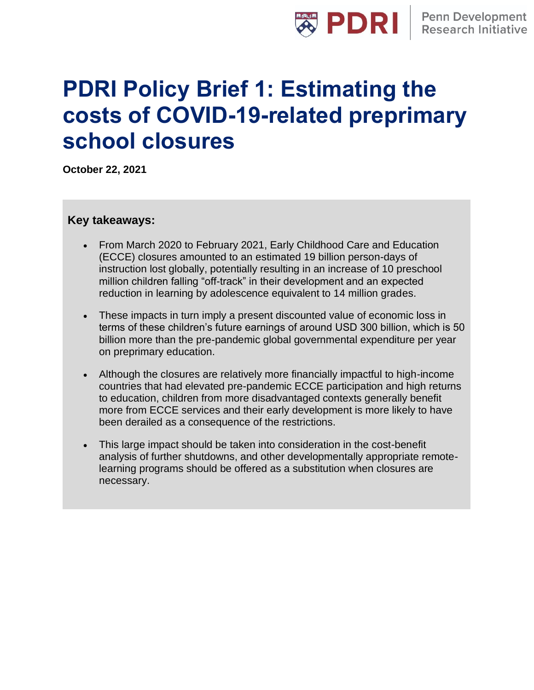

# **PDRI Policy Brief 1: Estimating the costs of COVID-19-related preprimary school closures**

**October 22, 2021**

#### **Key takeaways:**

- From March 2020 to February 2021, Early Childhood Care and Education (ECCE) closures amounted to an estimated 19 billion person-days of instruction lost globally, potentially resulting in an increase of 10 preschool million children falling "off-track" in their development and an expected reduction in learning by adolescence equivalent to 14 million grades.
- These impacts in turn imply a present discounted value of economic loss in terms of these children's future earnings of around USD 300 billion, which is 50 billion more than the pre-pandemic global governmental expenditure per year on preprimary education.
- Although the closures are relatively more financially impactful to high-income countries that had elevated pre-pandemic ECCE participation and high returns to education, children from more disadvantaged contexts generally benefit more from ECCE services and their early development is more likely to have been derailed as a consequence of the restrictions.
- This large impact should be taken into consideration in the cost-benefit analysis of further shutdowns, and other developmentally appropriate remotelearning programs should be offered as a substitution when closures are necessary.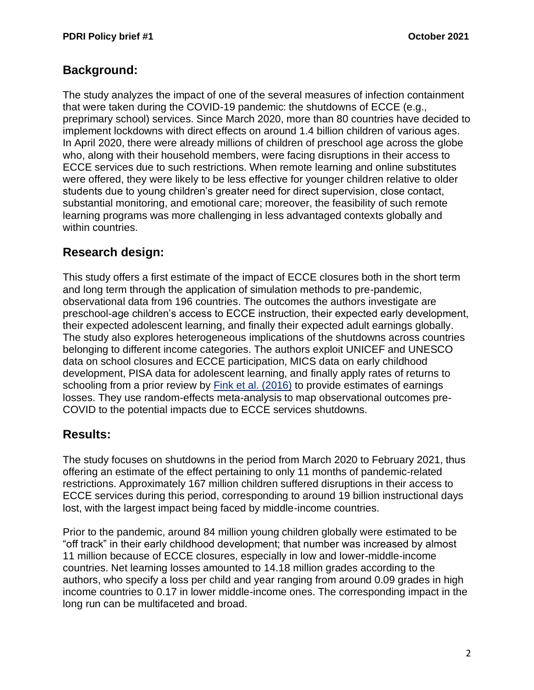## **Background:**

The study analyzes the impact of one of the several measures of infection containment that were taken during the COVID-19 pandemic: the shutdowns of ECCE (e.g., preprimary school) services. Since March 2020, more than 80 countries have decided to implement lockdowns with direct effects on around 1.4 billion children of various ages. In April 2020, there were already millions of children of preschool age across the globe who, along with their household members, were facing disruptions in their access to ECCE services due to such restrictions. When remote learning and online substitutes were offered, they were likely to be less effective for younger children relative to older students due to young children's greater need for direct supervision, close contact, substantial monitoring, and emotional care; moreover, the feasibility of such remote learning programs was more challenging in less advantaged contexts globally and within countries.

## **Research design:**

This study offers a first estimate of the impact of ECCE closures both in the short term and long term through the application of simulation methods to pre-pandemic, observational data from 196 countries. The outcomes the authors investigate are preschool-age children's access to ECCE instruction, their expected early development, their expected adolescent learning, and finally their expected adult earnings globally. The study also explores heterogeneous implications of the shutdowns across countries belonging to different income categories. The authors exploit UNICEF and UNESCO data on school closures and ECCE participation, MICS data on early childhood development, PISA data for adolescent learning, and finally apply rates of returns to schooling from a prior review by [Fink et al. \(2016\)](https://pubmed.ncbi.nlm.nih.gov/27357091/) to provide estimates of earnings losses. They use random-effects meta-analysis to map observational outcomes pre-COVID to the potential impacts due to ECCE services shutdowns.

#### **Results:**

The study focuses on shutdowns in the period from March 2020 to February 2021, thus offering an estimate of the effect pertaining to only 11 months of pandemic-related restrictions. Approximately 167 million children suffered disruptions in their access to ECCE services during this period, corresponding to around 19 billion instructional days lost, with the largest impact being faced by middle-income countries.

Prior to the pandemic, around 84 million young children globally were estimated to be "off track" in their early childhood development; that number was increased by almost 11 million because of ECCE closures, especially in low and lower-middle-income countries. Net learning losses amounted to 14.18 million grades according to the authors, who specify a loss per child and year ranging from around 0.09 grades in high income countries to 0.17 in lower middle-income ones. The corresponding impact in the long run can be multifaceted and broad.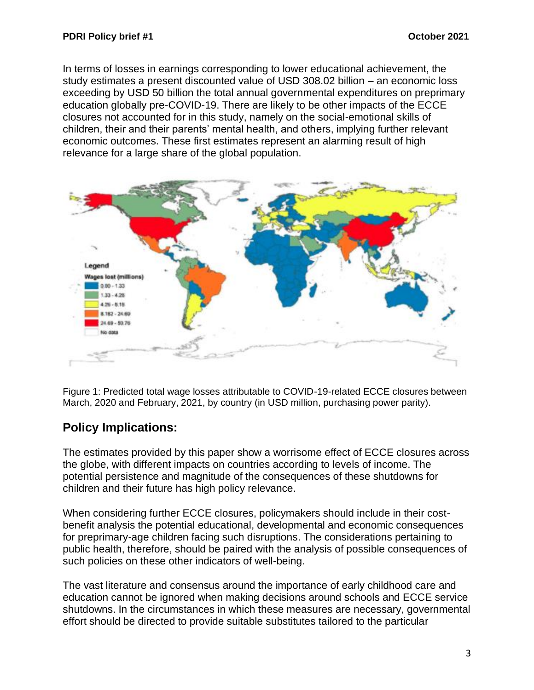In terms of losses in earnings corresponding to lower educational achievement, the study estimates a present discounted value of USD 308.02 billion – an economic loss exceeding by USD 50 billion the total annual governmental expenditures on preprimary education globally pre-COVID-19. There are likely to be other impacts of the ECCE closures not accounted for in this study, namely on the social-emotional skills of children, their and their parents' mental health, and others, implying further relevant economic outcomes. These first estimates represent an alarming result of high relevance for a large share of the global population.



Figure 1: Predicted total wage losses attributable to COVID-19-related ECCE closures between March, 2020 and February, 2021, by country (in USD million, purchasing power parity).

# **Policy Implications:**

The estimates provided by this paper show a worrisome effect of ECCE closures across the globe, with different impacts on countries according to levels of income. The potential persistence and magnitude of the consequences of these shutdowns for children and their future has high policy relevance.

When considering further ECCE closures, policymakers should include in their costbenefit analysis the potential educational, developmental and economic consequences for preprimary-age children facing such disruptions. The considerations pertaining to public health, therefore, should be paired with the analysis of possible consequences of such policies on these other indicators of well-being.

The vast literature and consensus around the importance of early childhood care and education cannot be ignored when making decisions around schools and ECCE service shutdowns. In the circumstances in which these measures are necessary, governmental effort should be directed to provide suitable substitutes tailored to the particular